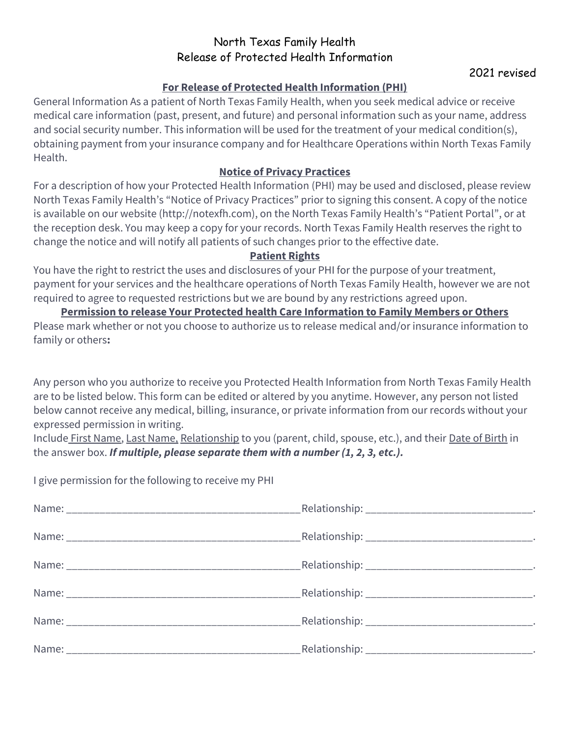# North Texas Family Health Release of Protected Health Information

## **For Release of Protected Health Information (PHI)**

General Information As a patient of North Texas Family Health, when you seek medical advice or receive medical care information (past, present, and future) and personal information such as your name, address and social security number. This information will be used for the treatment of your medical condition(s), obtaining payment from your insurance company and for Healthcare Operations within North Texas Family Health.

### **Notice of Privacy Practices**

For a description of how your Protected Health Information (PHI) may be used and disclosed, please review North Texas Family Health's "Notice of Privacy Practices" prior to signing this consent. A copy of the notice is available on our website (http://notexfh.com), on the North Texas Family Health's "Patient Portal", or at the reception desk. You may keep a copy for your records. North Texas Family Health reserves the right to change the notice and will notify all patients of such changes prior to the effective date.

#### **Patient Rights**

You have the right to restrict the uses and disclosures of your PHI for the purpose of your treatment, payment for your services and the healthcare operations of North Texas Family Health, however we are not required to agree to requested restrictions but we are bound by any restrictions agreed upon.

#### **Permission to release Your Protected health Care Information to Family Members or Others**

Please mark whether or not you choose to authorize us to release medical and/or insurance information to family or others**:** 

Any person who you authorize to receive you Protected Health Information from North Texas Family Health are to be listed below. This form can be edited or altered by you anytime. However, any person not listed below cannot receive any medical, billing, insurance, or private information from our records without your expressed permission in writing.

Include First Name, Last Name, Relationship to you (parent, child, spouse, etc.), and their Date of Birth in the answer box. *If multiple, please separate them with a number (1, 2, 3, etc.).*

I give permission for the following to receive my PHI